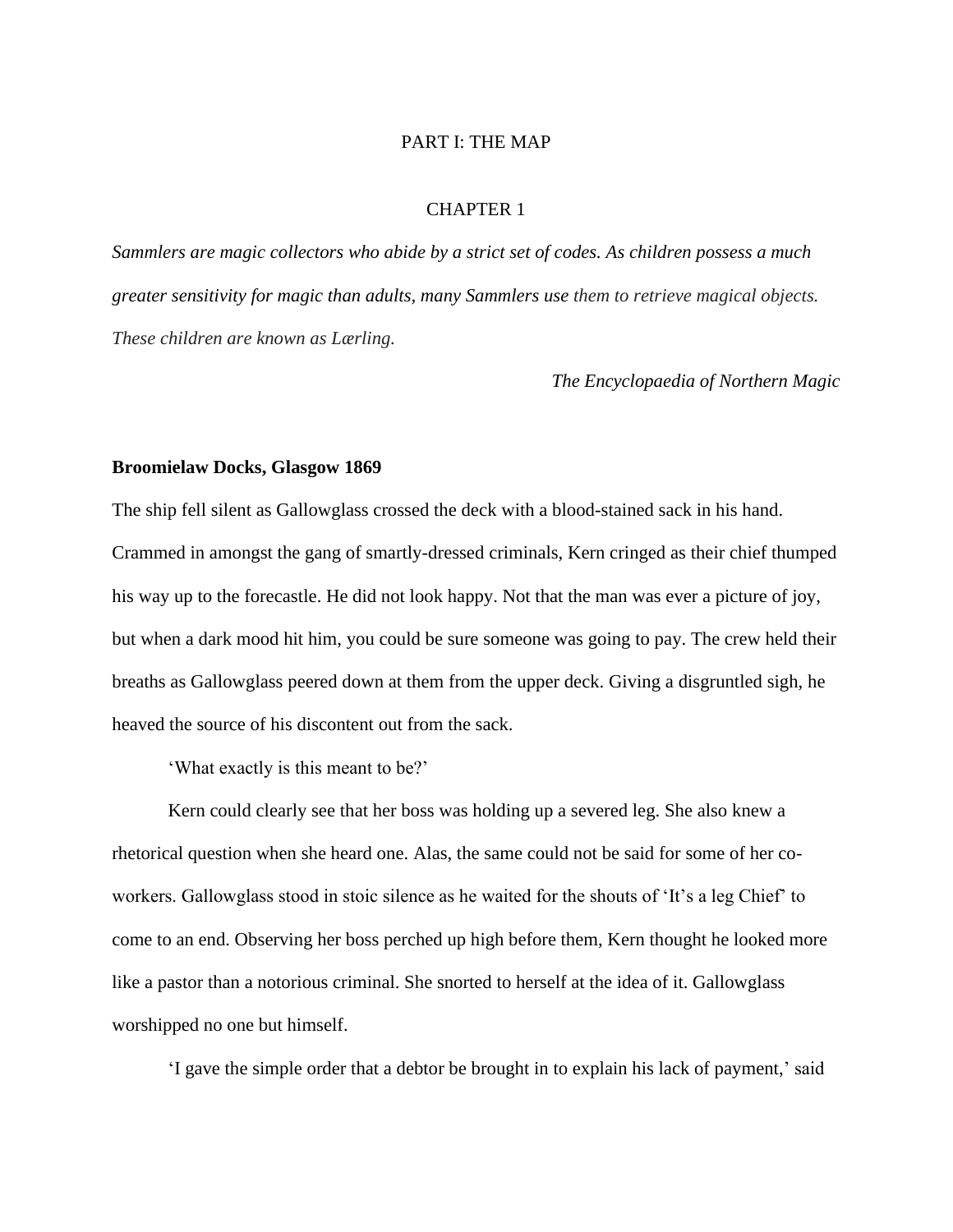## PART I: THE MAP

## CHAPTER 1

*Sammlers are magic collectors who abide by a strict set of codes. As children possess a much greater sensitivity for magic than adults, many Sammlers use them to retrieve magical objects. These children are known as Lærling.*

*The Encyclopaedia of Northern Magic*

## **Broomielaw Docks, Glasgow 1869**

The ship fell silent as Gallowglass crossed the deck with a blood-stained sack in his hand. Crammed in amongst the gang of smartly-dressed criminals, Kern cringed as their chief thumped his way up to the forecastle. He did not look happy. Not that the man was ever a picture of joy, but when a dark mood hit him, you could be sure someone was going to pay. The crew held their breaths as Gallowglass peered down at them from the upper deck. Giving a disgruntled sigh, he heaved the source of his discontent out from the sack.

'What exactly is this meant to be?'

Kern could clearly see that her boss was holding up a severed leg. She also knew a rhetorical question when she heard one. Alas, the same could not be said for some of her coworkers. Gallowglass stood in stoic silence as he waited for the shouts of 'It's a leg Chief' to come to an end. Observing her boss perched up high before them, Kern thought he looked more like a pastor than a notorious criminal. She snorted to herself at the idea of it. Gallowglass worshipped no one but himself.

'I gave the simple order that a debtor be brought in to explain his lack of payment,' said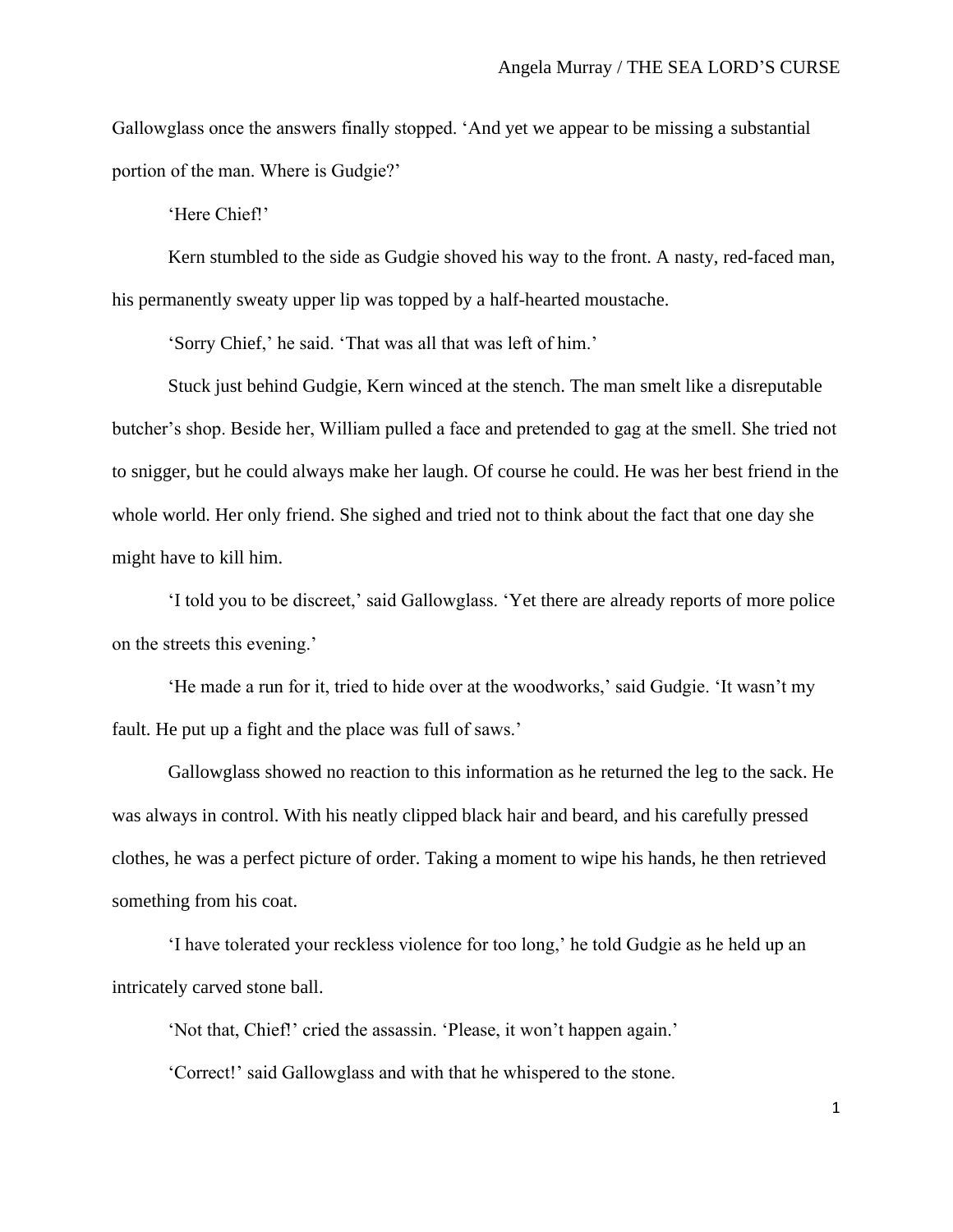Gallowglass once the answers finally stopped. 'And yet we appear to be missing a substantial portion of the man. Where is Gudgie?'

'Here Chief!'

Kern stumbled to the side as Gudgie shoved his way to the front. A nasty, red-faced man, his permanently sweaty upper lip was topped by a half-hearted moustache.

'Sorry Chief,' he said. 'That was all that was left of him.'

Stuck just behind Gudgie, Kern winced at the stench. The man smelt like a disreputable butcher's shop. Beside her, William pulled a face and pretended to gag at the smell. She tried not to snigger, but he could always make her laugh. Of course he could. He was her best friend in the whole world. Her only friend. She sighed and tried not to think about the fact that one day she might have to kill him.

'I told you to be discreet,' said Gallowglass. 'Yet there are already reports of more police on the streets this evening.'

'He made a run for it, tried to hide over at the woodworks,' said Gudgie. 'It wasn't my fault. He put up a fight and the place was full of saws.'

Gallowglass showed no reaction to this information as he returned the leg to the sack. He was always in control. With his neatly clipped black hair and beard, and his carefully pressed clothes, he was a perfect picture of order. Taking a moment to wipe his hands, he then retrieved something from his coat.

'I have tolerated your reckless violence for too long,' he told Gudgie as he held up an intricately carved stone ball.

'Not that, Chief!' cried the assassin. 'Please, it won't happen again.'

'Correct!' said Gallowglass and with that he whispered to the stone.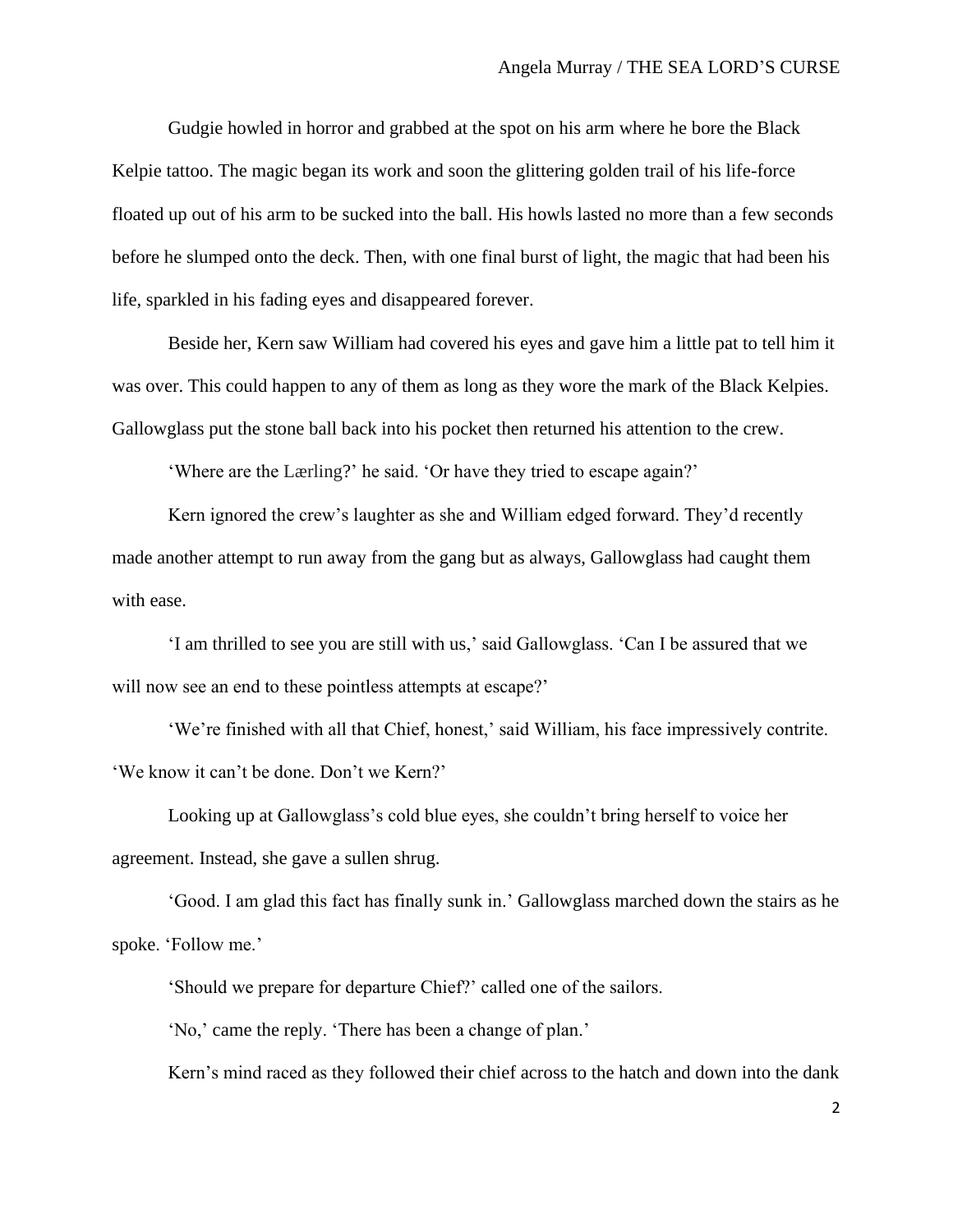Gudgie howled in horror and grabbed at the spot on his arm where he bore the Black Kelpie tattoo. The magic began its work and soon the glittering golden trail of his life-force floated up out of his arm to be sucked into the ball. His howls lasted no more than a few seconds before he slumped onto the deck. Then, with one final burst of light, the magic that had been his life, sparkled in his fading eyes and disappeared forever.

Beside her, Kern saw William had covered his eyes and gave him a little pat to tell him it was over. This could happen to any of them as long as they wore the mark of the Black Kelpies. Gallowglass put the stone ball back into his pocket then returned his attention to the crew.

'Where are the Lærling?' he said. 'Or have they tried to escape again?'

Kern ignored the crew's laughter as she and William edged forward. They'd recently made another attempt to run away from the gang but as always, Gallowglass had caught them with ease.

'I am thrilled to see you are still with us,' said Gallowglass. 'Can I be assured that we will now see an end to these pointless attempts at escape?'

'We're finished with all that Chief, honest,' said William, his face impressively contrite. 'We know it can't be done. Don't we Kern?'

Looking up at Gallowglass's cold blue eyes, she couldn't bring herself to voice her agreement. Instead, she gave a sullen shrug.

'Good. I am glad this fact has finally sunk in.' Gallowglass marched down the stairs as he spoke. 'Follow me.'

'Should we prepare for departure Chief?' called one of the sailors.

'No,' came the reply. 'There has been a change of plan.'

Kern's mind raced as they followed their chief across to the hatch and down into the dank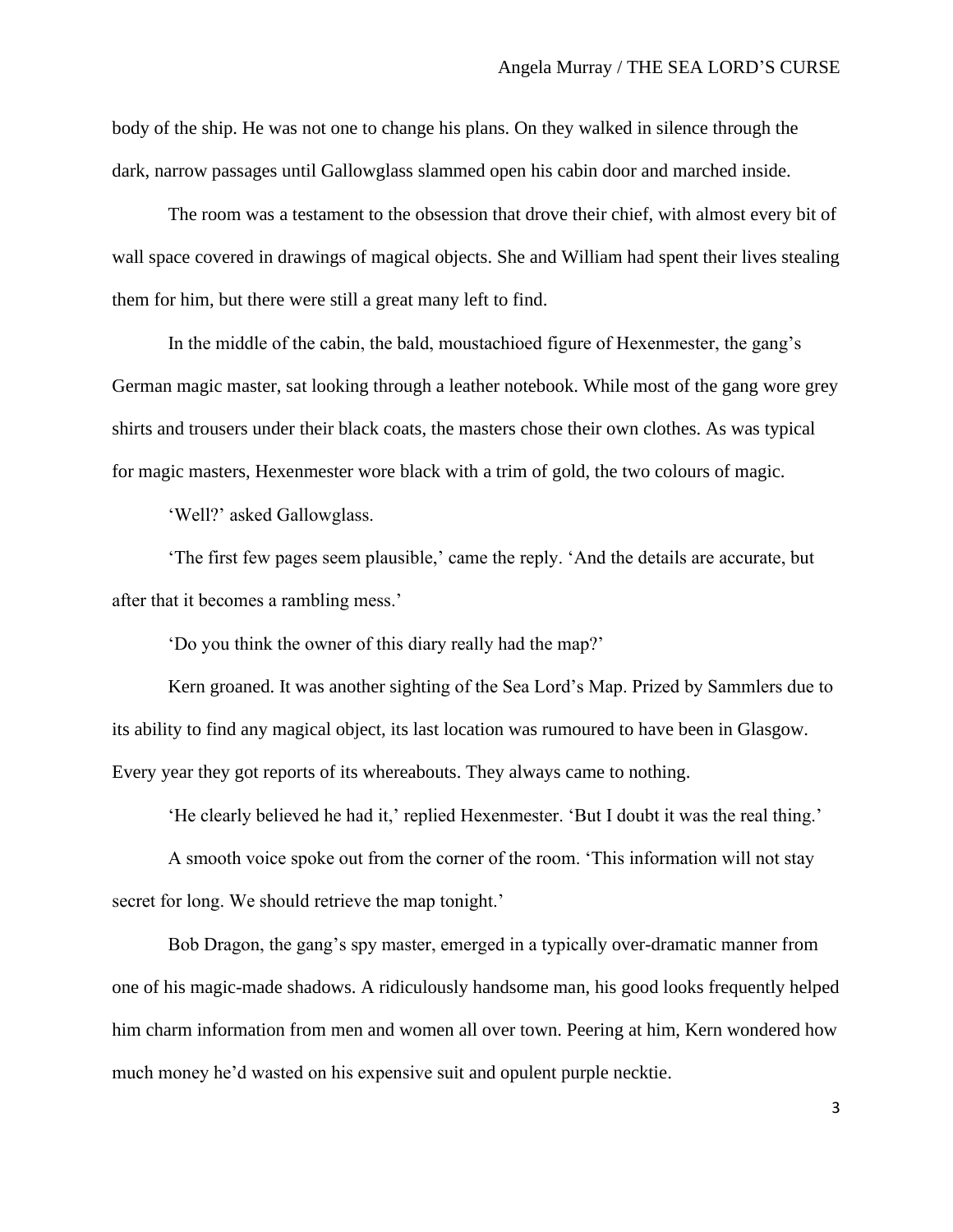body of the ship. He was not one to change his plans. On they walked in silence through the dark, narrow passages until Gallowglass slammed open his cabin door and marched inside.

The room was a testament to the obsession that drove their chief, with almost every bit of wall space covered in drawings of magical objects. She and William had spent their lives stealing them for him, but there were still a great many left to find.

In the middle of the cabin, the bald, moustachioed figure of Hexenmester, the gang's German magic master, sat looking through a leather notebook. While most of the gang wore grey shirts and trousers under their black coats, the masters chose their own clothes. As was typical for magic masters, Hexenmester wore black with a trim of gold, the two colours of magic.

'Well?' asked Gallowglass.

'The first few pages seem plausible,' came the reply. 'And the details are accurate, but after that it becomes a rambling mess.'

'Do you think the owner of this diary really had the map?'

Kern groaned. It was another sighting of the Sea Lord's Map. Prized by Sammlers due to its ability to find any magical object, its last location was rumoured to have been in Glasgow. Every year they got reports of its whereabouts. They always came to nothing.

'He clearly believed he had it,' replied Hexenmester. 'But I doubt it was the real thing.'

A smooth voice spoke out from the corner of the room. 'This information will not stay secret for long. We should retrieve the map tonight.'

Bob Dragon, the gang's spy master, emerged in a typically over-dramatic manner from one of his magic-made shadows. A ridiculously handsome man, his good looks frequently helped him charm information from men and women all over town. Peering at him, Kern wondered how much money he'd wasted on his expensive suit and opulent purple necktie.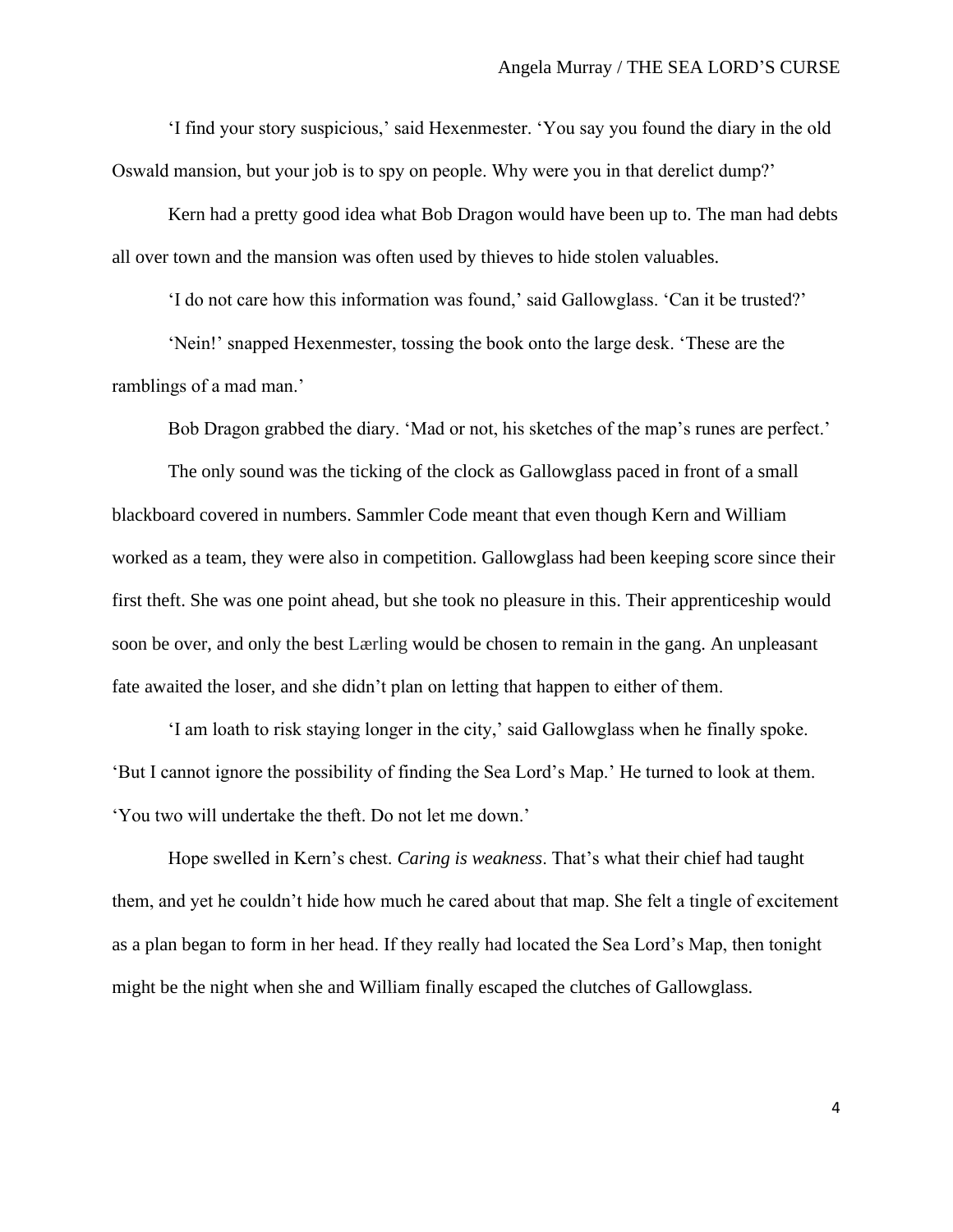'I find your story suspicious,' said Hexenmester. 'You say you found the diary in the old Oswald mansion, but your job is to spy on people. Why were you in that derelict dump?'

Kern had a pretty good idea what Bob Dragon would have been up to. The man had debts all over town and the mansion was often used by thieves to hide stolen valuables.

'I do not care how this information was found,' said Gallowglass. 'Can it be trusted?'

'Nein!' snapped Hexenmester, tossing the book onto the large desk. 'These are the ramblings of a mad man.'

Bob Dragon grabbed the diary. 'Mad or not, his sketches of the map's runes are perfect.'

The only sound was the ticking of the clock as Gallowglass paced in front of a small blackboard covered in numbers. Sammler Code meant that even though Kern and William worked as a team, they were also in competition. Gallowglass had been keeping score since their first theft. She was one point ahead, but she took no pleasure in this. Their apprenticeship would soon be over, and only the best Lærling would be chosen to remain in the gang. An unpleasant fate awaited the loser, and she didn't plan on letting that happen to either of them.

'I am loath to risk staying longer in the city,' said Gallowglass when he finally spoke. 'But I cannot ignore the possibility of finding the Sea Lord's Map.' He turned to look at them. 'You two will undertake the theft. Do not let me down.'

Hope swelled in Kern's chest. *Caring is weakness*. That's what their chief had taught them, and yet he couldn't hide how much he cared about that map. She felt a tingle of excitement as a plan began to form in her head. If they really had located the Sea Lord's Map, then tonight might be the night when she and William finally escaped the clutches of Gallowglass.

4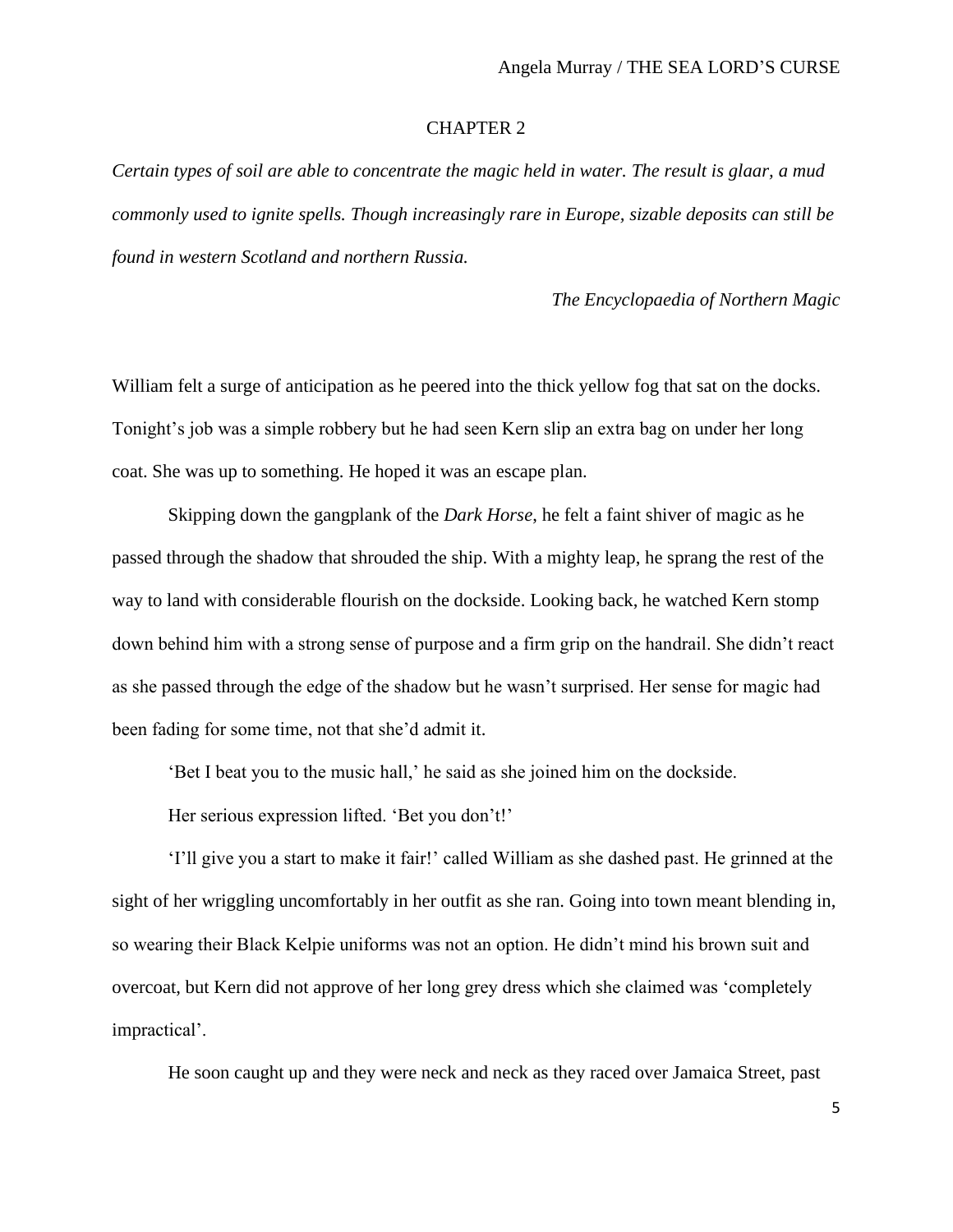## CHAPTER 2

*Certain types of soil are able to concentrate the magic held in water. The result is glaar, a mud commonly used to ignite spells. Though increasingly rare in Europe, sizable deposits can still be found in western Scotland and northern Russia.* 

*The Encyclopaedia of Northern Magic*

William felt a surge of anticipation as he peered into the thick yellow fog that sat on the docks. Tonight's job was a simple robbery but he had seen Kern slip an extra bag on under her long coat. She was up to something. He hoped it was an escape plan.

Skipping down the gangplank of the *Dark Horse*, he felt a faint shiver of magic as he passed through the shadow that shrouded the ship. With a mighty leap, he sprang the rest of the way to land with considerable flourish on the dockside. Looking back, he watched Kern stomp down behind him with a strong sense of purpose and a firm grip on the handrail. She didn't react as she passed through the edge of the shadow but he wasn't surprised. Her sense for magic had been fading for some time, not that she'd admit it.

'Bet I beat you to the music hall,' he said as she joined him on the dockside.

Her serious expression lifted. 'Bet you don't!'

'I'll give you a start to make it fair!' called William as she dashed past. He grinned at the sight of her wriggling uncomfortably in her outfit as she ran. Going into town meant blending in, so wearing their Black Kelpie uniforms was not an option. He didn't mind his brown suit and overcoat, but Kern did not approve of her long grey dress which she claimed was 'completely impractical'.

He soon caught up and they were neck and neck as they raced over Jamaica Street, past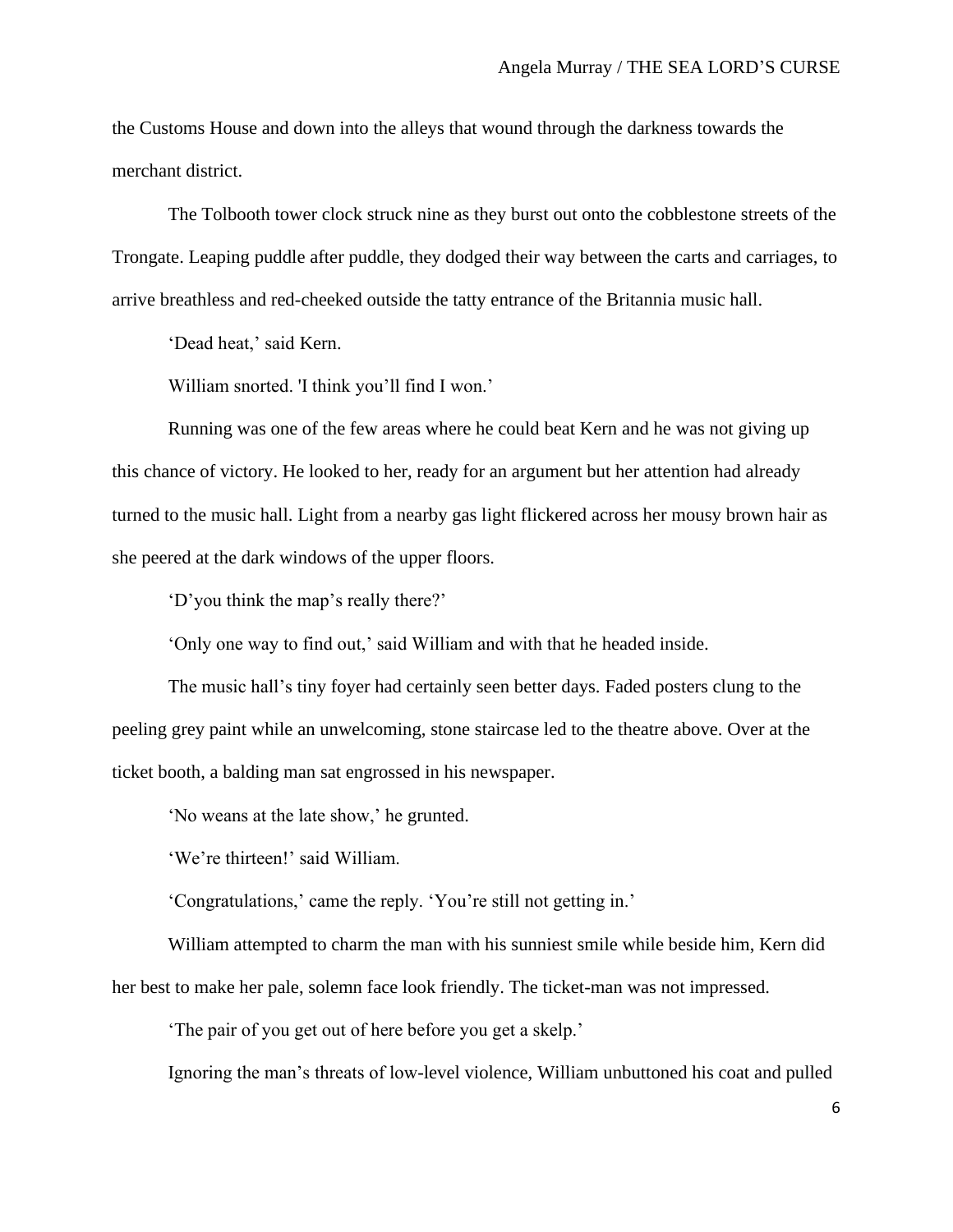the Customs House and down into the alleys that wound through the darkness towards the merchant district.

The Tolbooth tower clock struck nine as they burst out onto the cobblestone streets of the Trongate. Leaping puddle after puddle, they dodged their way between the carts and carriages, to arrive breathless and red-cheeked outside the tatty entrance of the Britannia music hall.

'Dead heat,' said Kern.

William snorted. 'I think you'll find I won.'

Running was one of the few areas where he could beat Kern and he was not giving up this chance of victory. He looked to her, ready for an argument but her attention had already turned to the music hall. Light from a nearby gas light flickered across her mousy brown hair as she peered at the dark windows of the upper floors.

'D'you think the map's really there?'

'Only one way to find out,' said William and with that he headed inside.

The music hall's tiny foyer had certainly seen better days. Faded posters clung to the peeling grey paint while an unwelcoming, stone staircase led to the theatre above. Over at the ticket booth, a balding man sat engrossed in his newspaper.

'No weans at the late show,' he grunted.

'We're thirteen!' said William.

'Congratulations,' came the reply. 'You're still not getting in.'

William attempted to charm the man with his sunniest smile while beside him, Kern did her best to make her pale, solemn face look friendly. The ticket-man was not impressed.

'The pair of you get out of here before you get a skelp.'

Ignoring the man's threats of low-level violence, William unbuttoned his coat and pulled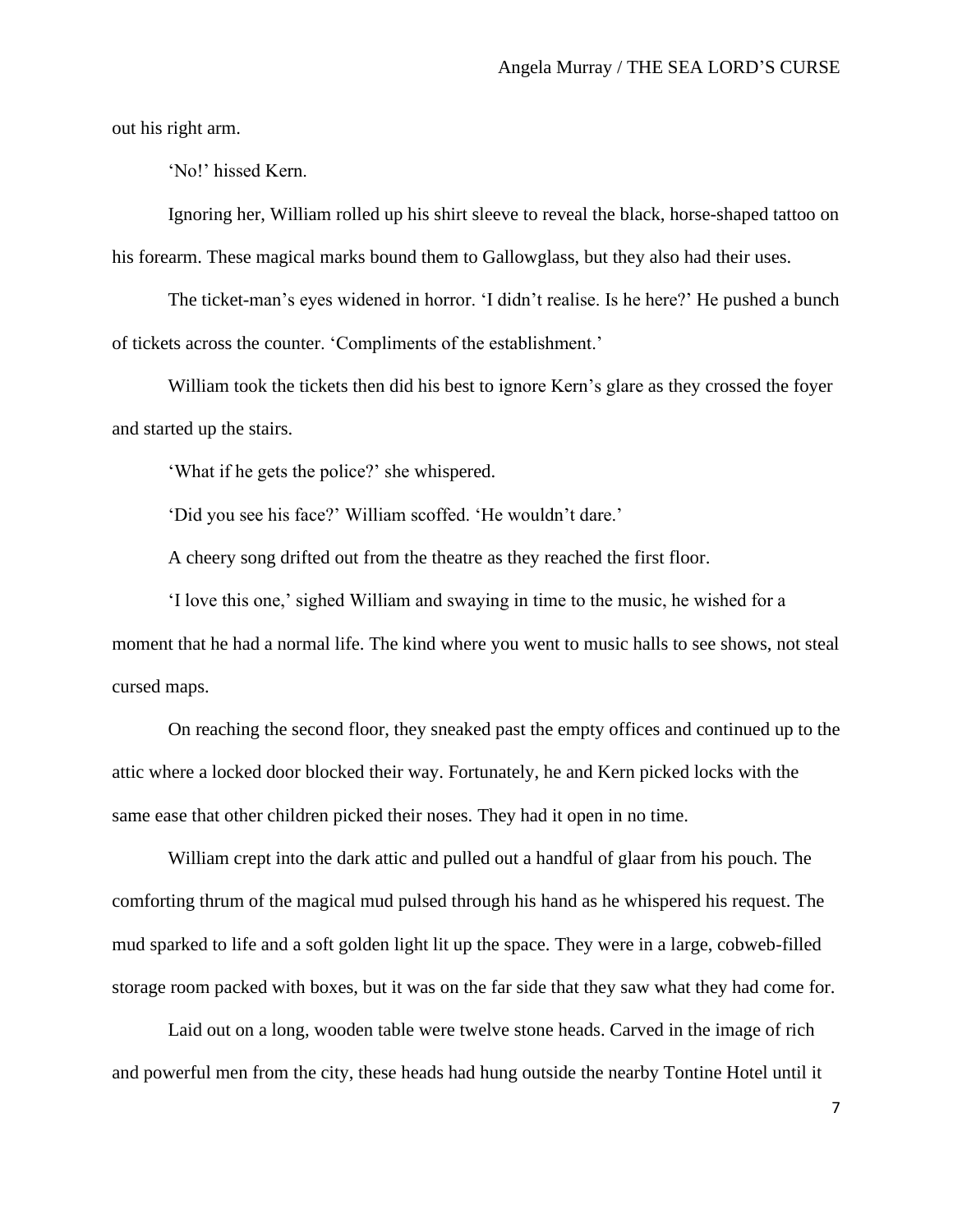out his right arm.

'No!' hissed Kern.

Ignoring her, William rolled up his shirt sleeve to reveal the black, horse-shaped tattoo on his forearm. These magical marks bound them to Gallowglass, but they also had their uses.

The ticket-man's eyes widened in horror. 'I didn't realise. Is he here?' He pushed a bunch of tickets across the counter. 'Compliments of the establishment.'

William took the tickets then did his best to ignore Kern's glare as they crossed the foyer and started up the stairs.

'What if he gets the police?' she whispered.

'Did you see his face?' William scoffed. 'He wouldn't dare.'

A cheery song drifted out from the theatre as they reached the first floor.

'I love this one,' sighed William and swaying in time to the music, he wished for a moment that he had a normal life. The kind where you went to music halls to see shows, not steal cursed maps.

On reaching the second floor, they sneaked past the empty offices and continued up to the attic where a locked door blocked their way. Fortunately, he and Kern picked locks with the same ease that other children picked their noses. They had it open in no time.

William crept into the dark attic and pulled out a handful of glaar from his pouch. The comforting thrum of the magical mud pulsed through his hand as he whispered his request. The mud sparked to life and a soft golden light lit up the space. They were in a large, cobweb-filled storage room packed with boxes, but it was on the far side that they saw what they had come for.

Laid out on a long, wooden table were twelve stone heads. Carved in the image of rich and powerful men from the city, these heads had hung outside the nearby Tontine Hotel until it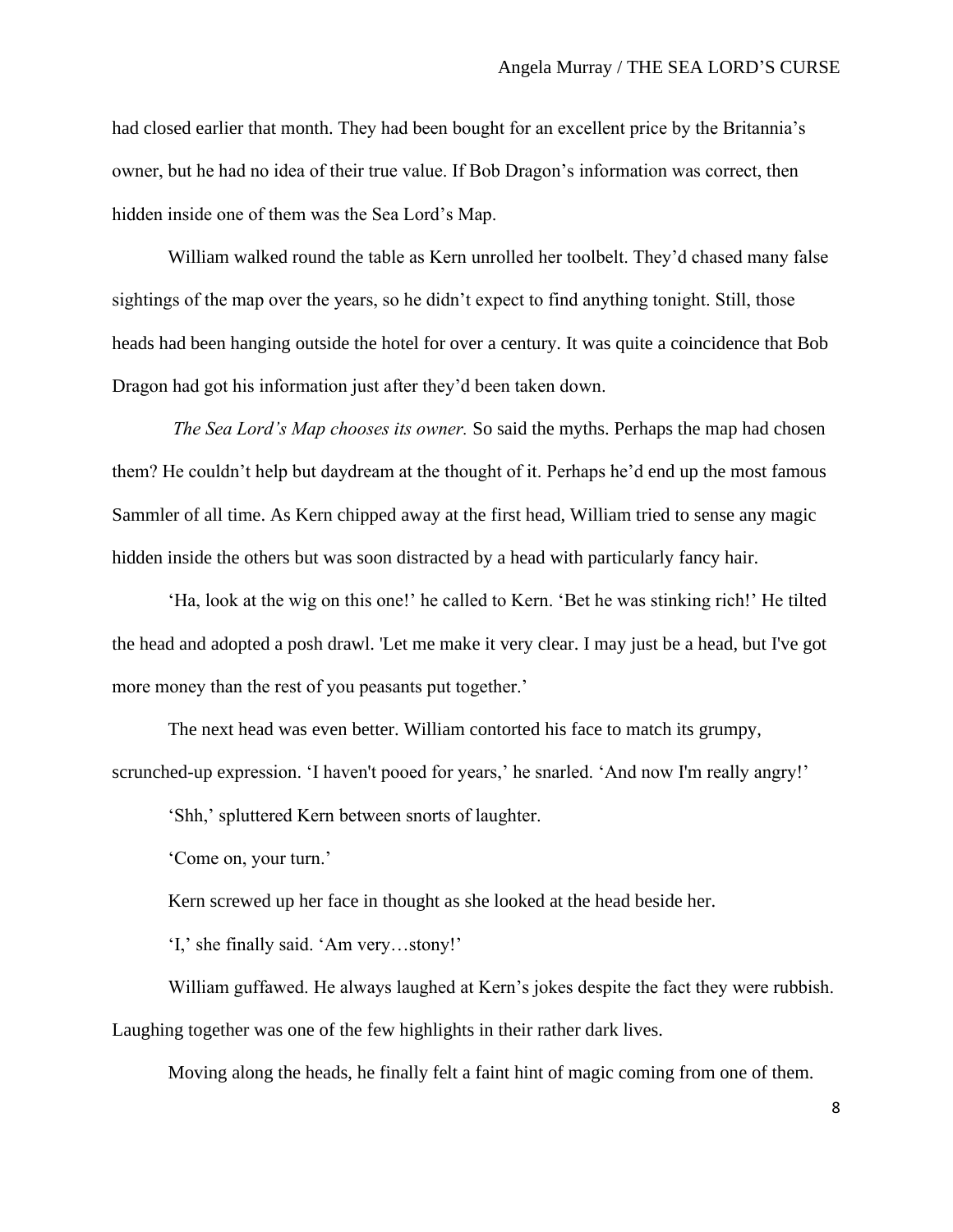had closed earlier that month. They had been bought for an excellent price by the Britannia's owner, but he had no idea of their true value. If Bob Dragon's information was correct, then hidden inside one of them was the Sea Lord's Map.

William walked round the table as Kern unrolled her toolbelt. They'd chased many false sightings of the map over the years, so he didn't expect to find anything tonight. Still, those heads had been hanging outside the hotel for over a century. It was quite a coincidence that Bob Dragon had got his information just after they'd been taken down.

*The Sea Lord's Map chooses its owner.* So said the myths. Perhaps the map had chosen them? He couldn't help but daydream at the thought of it. Perhaps he'd end up the most famous Sammler of all time. As Kern chipped away at the first head, William tried to sense any magic hidden inside the others but was soon distracted by a head with particularly fancy hair.

'Ha, look at the wig on this one!' he called to Kern. 'Bet he was stinking rich!' He tilted the head and adopted a posh drawl. 'Let me make it very clear. I may just be a head, but I've got more money than the rest of you peasants put together.'

The next head was even better. William contorted his face to match its grumpy, scrunched-up expression. 'I haven't pooed for years,' he snarled. 'And now I'm really angry!'

'Shh,' spluttered Kern between snorts of laughter.

'Come on, your turn.'

Kern screwed up her face in thought as she looked at the head beside her.

'I,' she finally said. 'Am very…stony!'

William guffawed. He always laughed at Kern's jokes despite the fact they were rubbish. Laughing together was one of the few highlights in their rather dark lives.

Moving along the heads, he finally felt a faint hint of magic coming from one of them.